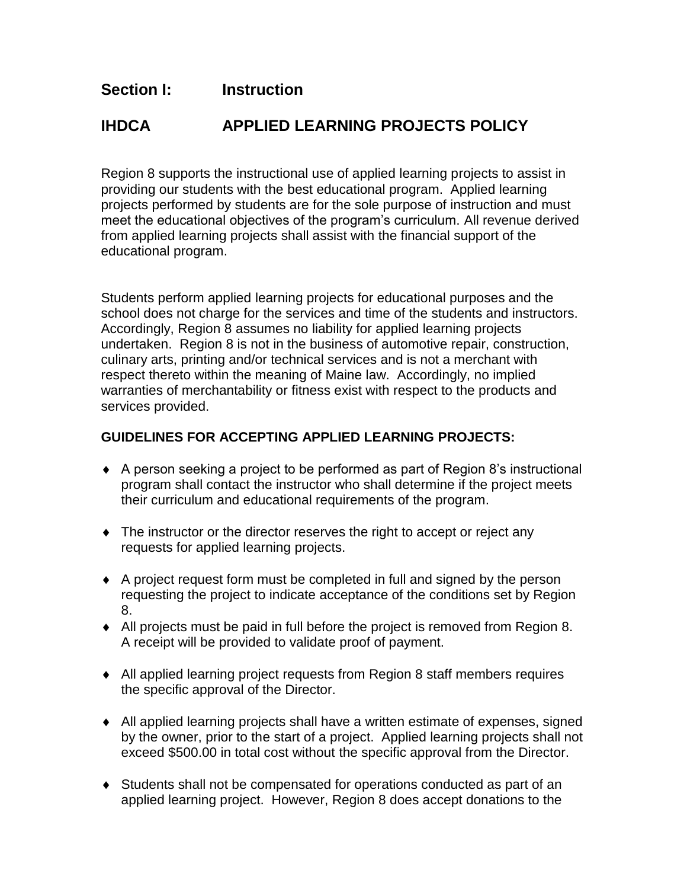## **Section I: Instruction**

## **IHDCA APPLIED LEARNING PROJECTS POLICY**

Region 8 supports the instructional use of applied learning projects to assist in providing our students with the best educational program. Applied learning projects performed by students are for the sole purpose of instruction and must meet the educational objectives of the program's curriculum. All revenue derived from applied learning projects shall assist with the financial support of the educational program.

Students perform applied learning projects for educational purposes and the school does not charge for the services and time of the students and instructors. Accordingly, Region 8 assumes no liability for applied learning projects undertaken. Region 8 is not in the business of automotive repair, construction, culinary arts, printing and/or technical services and is not a merchant with respect thereto within the meaning of Maine law. Accordingly, no implied warranties of merchantability or fitness exist with respect to the products and services provided.

## **GUIDELINES FOR ACCEPTING APPLIED LEARNING PROJECTS:**

- A person seeking a project to be performed as part of Region 8's instructional program shall contact the instructor who shall determine if the project meets their curriculum and educational requirements of the program.
- The instructor or the director reserves the right to accept or reject any requests for applied learning projects.
- A project request form must be completed in full and signed by the person requesting the project to indicate acceptance of the conditions set by Region 8.
- All projects must be paid in full before the project is removed from Region 8. A receipt will be provided to validate proof of payment.
- All applied learning project requests from Region 8 staff members requires the specific approval of the Director.
- All applied learning projects shall have a written estimate of expenses, signed by the owner, prior to the start of a project. Applied learning projects shall not exceed \$500.00 in total cost without the specific approval from the Director.
- Students shall not be compensated for operations conducted as part of an applied learning project. However, Region 8 does accept donations to the